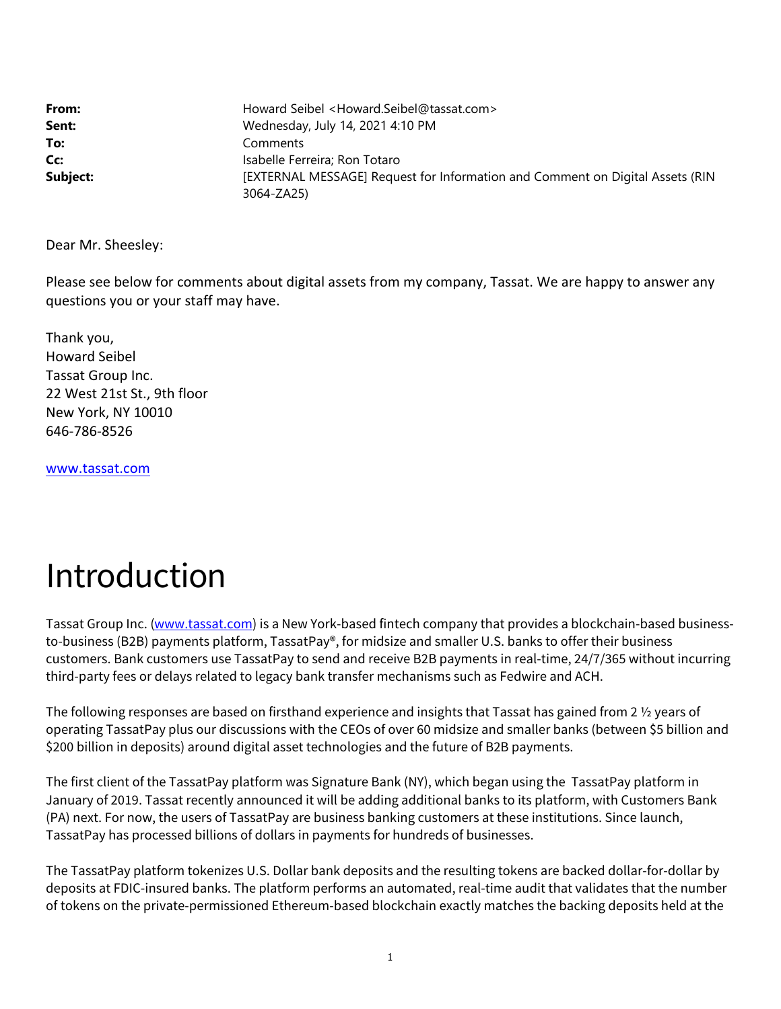| From:    | Howard Seibel <howard.seibel@tassat.com></howard.seibel@tassat.com>           |
|----------|-------------------------------------------------------------------------------|
| Sent:    | Wednesday, July 14, 2021 4:10 PM                                              |
| To:      | Comments                                                                      |
| Cc:      | Isabelle Ferreira; Ron Totaro                                                 |
| Subject: | [EXTERNAL MESSAGE] Request for Information and Comment on Digital Assets (RIN |
|          | 3064-ZA25)                                                                    |

Dear Mr. Sheesley:

Please see below for comments about digital assets from my company, Tassat. We are happy to answer any questions you or your staff may have.

Thank you, Howard Seibel Tassat Group Inc. 22 West 21st St., 9th floor New York, NY 10010 646‐786‐8526

www.tassat.com

# Introduction

Tassat Group Inc. (www.tassat.com) is a New York-based fintech company that provides a blockchain-based businessto-business (B2B) payments platform, TassatPay®, for midsize and smaller U.S. banks to offer their business customers. Bank customers use TassatPay to send and receive B2B payments in real-time, 24/7/365 without incurring third-party fees or delays related to legacy bank transfer mechanisms such as Fedwire and ACH.

The following responses are based on firsthand experience and insights that Tassat has gained from 2 ½ years of operating TassatPay plus our discussions with the CEOs of over 60 midsize and smaller banks (between \$5 billion and \$200 billion in deposits) around digital asset technologies and the future of B2B payments.

The first client of the TassatPay platform was Signature Bank (NY), which began using the TassatPay platform in January of 2019. Tassat recently announced it will be adding additional banks to its platform, with Customers Bank (PA) next. For now, the users of TassatPay are business banking customers at these institutions. Since launch, TassatPay has processed billions of dollars in payments for hundreds of businesses.

The TassatPay platform tokenizes U.S. Dollar bank deposits and the resulting tokens are backed dollar-for-dollar by deposits at FDIC-insured banks. The platform performs an automated, real-time audit that validates that the number of tokens on the private-permissioned Ethereum-based blockchain exactly matches the backing deposits held at the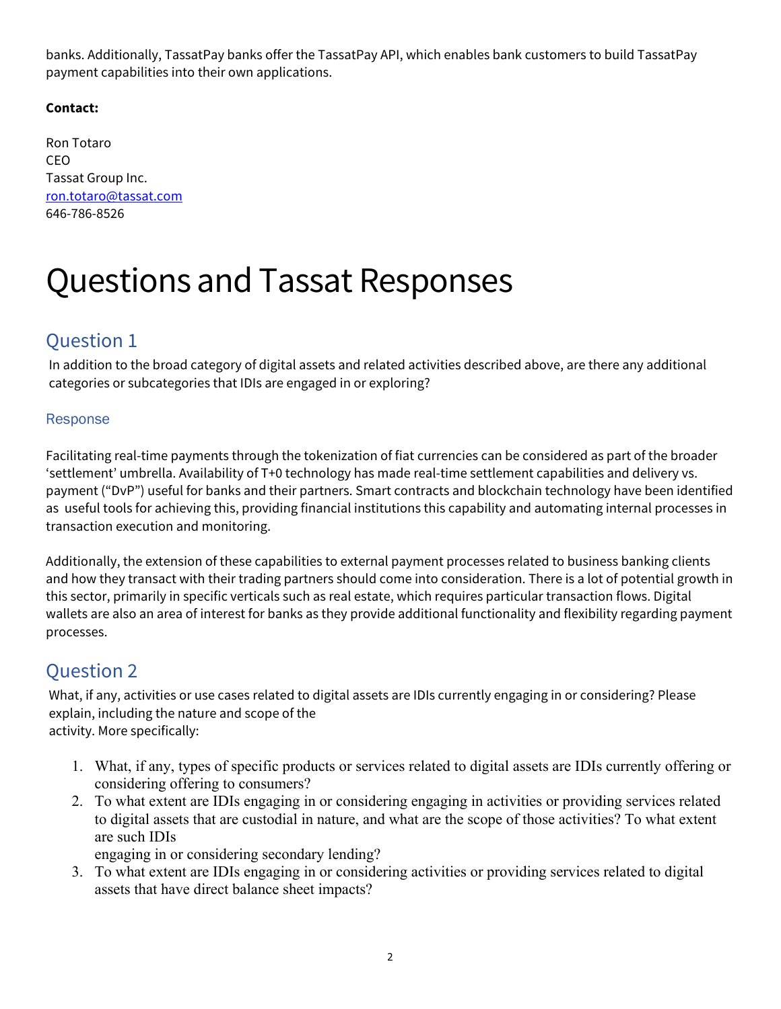banks. Additionally, TassatPay banks offer the TassatPay API, which enables bank customers to build TassatPay payment capabilities into their own applications.

#### **Contact:**

Ron Totaro CEO Tassat Group Inc. ron.totaro@tassat.com 646-786-8526

# Questions and Tassat Responses

## Question 1

In addition to the broad category of digital assets and related activities described above, are there any additional categories or subcategories that IDIs are engaged in or exploring?

#### Response

Facilitating real-time payments through the tokenization of fiat currencies can be considered as part of the broader 'settlement' umbrella. Availability of T+0 technology has made real-time settlement capabilities and delivery vs. payment ("DvP") useful for banks and their partners. Smart contracts and blockchain technology have been identified as useful tools for achieving this, providing financial institutions this capability and automating internal processes in transaction execution and monitoring.

Additionally, the extension of these capabilities to external payment processes related to business banking clients and how they transact with their trading partners should come into consideration. There is a lot of potential growth in this sector, primarily in specific verticals such as real estate, which requires particular transaction flows. Digital wallets are also an area of interest for banks as they provide additional functionality and flexibility regarding payment processes.

## Question 2

What, if any, activities or use cases related to digital assets are IDIs currently engaging in or considering? Please explain, including the nature and scope of the activity. More specifically:

- 1. What, if any, types of specific products or services related to digital assets are IDIs currently offering or considering offering to consumers?
- 2. To what extent are IDIs engaging in or considering engaging in activities or providing services related to digital assets that are custodial in nature, and what are the scope of those activities? To what extent are such IDIs

engaging in or considering secondary lending?

3. To what extent are IDIs engaging in or considering activities or providing services related to digital assets that have direct balance sheet impacts?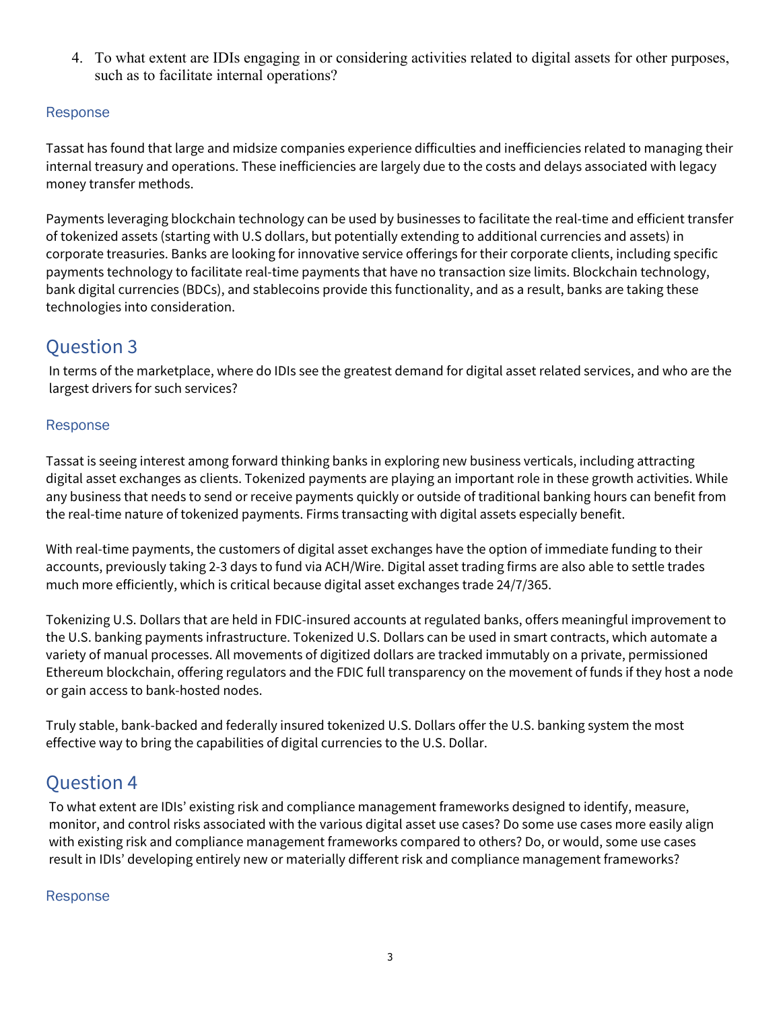4. To what extent are IDIs engaging in or considering activities related to digital assets for other purposes, such as to facilitate internal operations?

#### Response

Tassat has found that large and midsize companies experience difficulties and inefficiencies related to managing their internal treasury and operations. These inefficiencies are largely due to the costs and delays associated with legacy money transfer methods.

Payments leveraging blockchain technology can be used by businesses to facilitate the real-time and efficient transfer of tokenized assets (starting with U.S dollars, but potentially extending to additional currencies and assets) in corporate treasuries. Banks are looking for innovative service offerings for their corporate clients, including specific payments technology to facilitate real-time payments that have no transaction size limits. Blockchain technology, bank digital currencies (BDCs), and stablecoins provide this functionality, and as a result, banks are taking these technologies into consideration.

## Question 3

In terms of the marketplace, where do IDIs see the greatest demand for digital asset related services, and who are the largest drivers for such services?

#### Response

Tassat is seeing interest among forward thinking banks in exploring new business verticals, including attracting digital asset exchanges as clients. Tokenized payments are playing an important role in these growth activities. While any business that needs to send or receive payments quickly or outside of traditional banking hours can benefit from the real-time nature of tokenized payments. Firms transacting with digital assets especially benefit.

With real-time payments, the customers of digital asset exchanges have the option of immediate funding to their accounts, previously taking 2-3 days to fund via ACH/Wire. Digital asset trading firms are also able to settle trades much more efficiently, which is critical because digital asset exchanges trade 24/7/365.

Tokenizing U.S. Dollars that are held in FDIC-insured accounts at regulated banks, offers meaningful improvement to the U.S. banking payments infrastructure. Tokenized U.S. Dollars can be used in smart contracts, which automate a variety of manual processes. All movements of digitized dollars are tracked immutably on a private, permissioned Ethereum blockchain, offering regulators and the FDIC full transparency on the movement of funds if they host a node or gain access to bank-hosted nodes.

Truly stable, bank-backed and federally insured tokenized U.S. Dollars offer the U.S. banking system the most effective way to bring the capabilities of digital currencies to the U.S. Dollar.

## Question 4

To what extent are IDIs' existing risk and compliance management frameworks designed to identify, measure, monitor, and control risks associated with the various digital asset use cases? Do some use cases more easily align with existing risk and compliance management frameworks compared to others? Do, or would, some use cases result in IDIs' developing entirely new or materially different risk and compliance management frameworks?

#### Response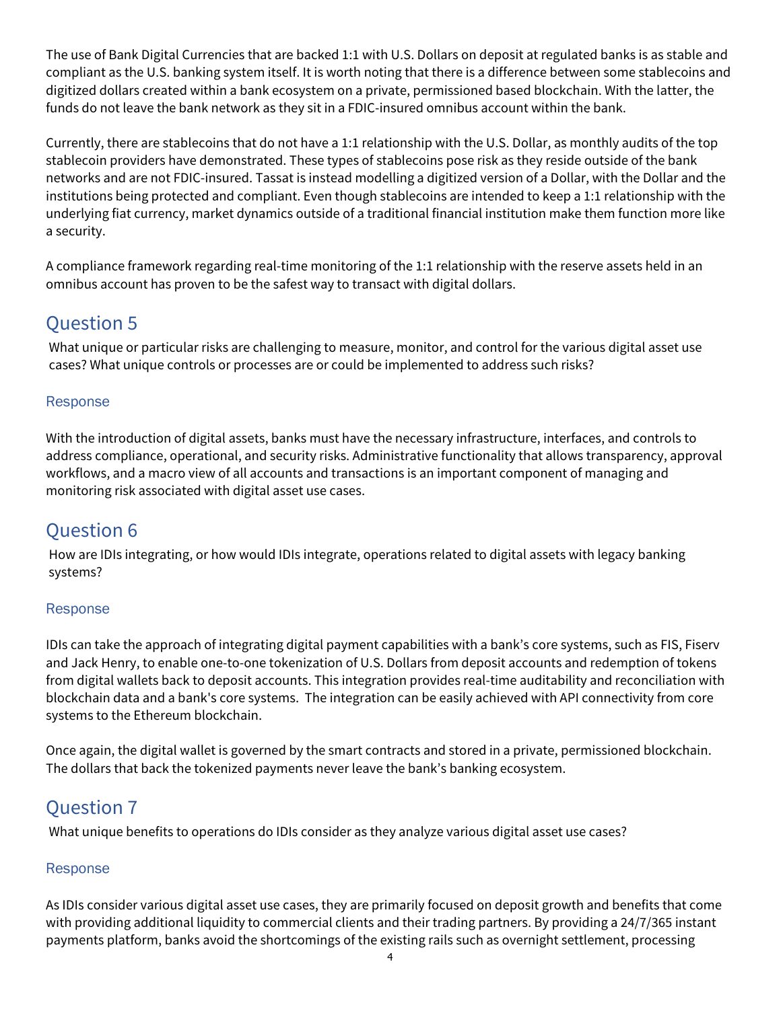The use of Bank Digital Currencies that are backed 1:1 with U.S. Dollars on deposit at regulated banks is as stable and compliant as the U.S. banking system itself. It is worth noting that there is a difference between some stablecoins and digitized dollars created within a bank ecosystem on a private, permissioned based blockchain. With the latter, the funds do not leave the bank network as they sit in a FDIC-insured omnibus account within the bank.

Currently, there are stablecoins that do not have a 1:1 relationship with the U.S. Dollar, as monthly audits of the top stablecoin providers have demonstrated. These types of stablecoins pose risk as they reside outside of the bank networks and are not FDIC-insured. Tassat is instead modelling a digitized version of a Dollar, with the Dollar and the institutions being protected and compliant. Even though stablecoins are intended to keep a 1:1 relationship with the underlying fiat currency, market dynamics outside of a traditional financial institution make them function more like a security.

A compliance framework regarding real-time monitoring of the 1:1 relationship with the reserve assets held in an omnibus account has proven to be the safest way to transact with digital dollars.

# Question 5

What unique or particular risks are challenging to measure, monitor, and control for the various digital asset use cases? What unique controls or processes are or could be implemented to address such risks?

## Response

With the introduction of digital assets, banks must have the necessary infrastructure, interfaces, and controls to address compliance, operational, and security risks. Administrative functionality that allows transparency, approval workflows, and a macro view of all accounts and transactions is an important component of managing and monitoring risk associated with digital asset use cases.

## Question 6

How are IDIs integrating, or how would IDIs integrate, operations related to digital assets with legacy banking systems?

## Response

IDIs can take the approach of integrating digital payment capabilities with a bank's core systems, such as FIS, Fiserv and Jack Henry, to enable one-to-one tokenization of U.S. Dollars from deposit accounts and redemption of tokens from digital wallets back to deposit accounts. This integration provides real-time auditability and reconciliation with blockchain data and a bank's core systems. The integration can be easily achieved with API connectivity from core systems to the Ethereum blockchain.

Once again, the digital wallet is governed by the smart contracts and stored in a private, permissioned blockchain. The dollars that back the tokenized payments never leave the bank's banking ecosystem.

## Question 7

What unique benefits to operations do IDIs consider as they analyze various digital asset use cases?

## Response

As IDIs consider various digital asset use cases, they are primarily focused on deposit growth and benefits that come with providing additional liquidity to commercial clients and their trading partners. By providing a 24/7/365 instant payments platform, banks avoid the shortcomings of the existing rails such as overnight settlement, processing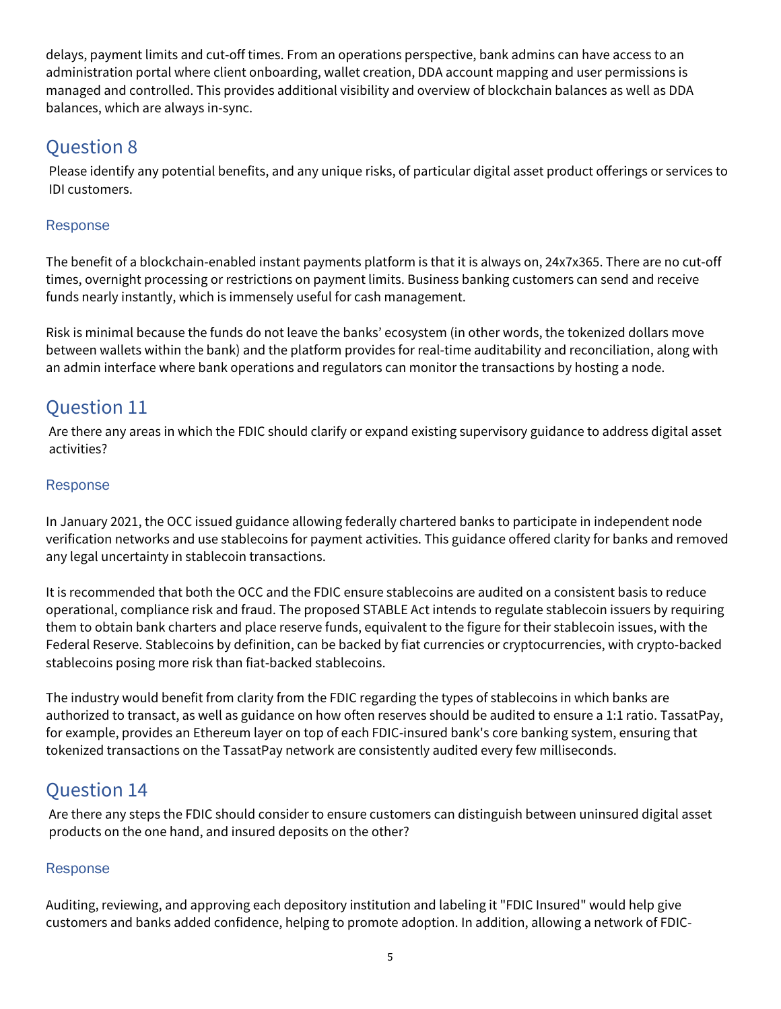delays, payment limits and cut-off times. From an operations perspective, bank admins can have access to an administration portal where client onboarding, wallet creation, DDA account mapping and user permissions is managed and controlled. This provides additional visibility and overview of blockchain balances as well as DDA balances, which are always in-sync.

## Question 8

Please identify any potential benefits, and any unique risks, of particular digital asset product offerings or services to IDI customers.

## **Response**

The benefit of a blockchain-enabled instant payments platform is that it is always on, 24x7x365. There are no cut-off times, overnight processing or restrictions on payment limits. Business banking customers can send and receive funds nearly instantly, which is immensely useful for cash management.

Risk is minimal because the funds do not leave the banks' ecosystem (in other words, the tokenized dollars move between wallets within the bank) and the platform provides for real-time auditability and reconciliation, along with an admin interface where bank operations and regulators can monitor the transactions by hosting a node.

# Question 11

Are there any areas in which the FDIC should clarify or expand existing supervisory guidance to address digital asset activities?

## Response

In January 2021, the OCC issued guidance allowing federally chartered banks to participate in independent node verification networks and use stablecoins for payment activities. This guidance offered clarity for banks and removed any legal uncertainty in stablecoin transactions.

It is recommended that both the OCC and the FDIC ensure stablecoins are audited on a consistent basis to reduce operational, compliance risk and fraud. The proposed STABLE Act intends to regulate stablecoin issuers by requiring them to obtain bank charters and place reserve funds, equivalent to the figure for their stablecoin issues, with the Federal Reserve. Stablecoins by definition, can be backed by fiat currencies or cryptocurrencies, with crypto-backed stablecoins posing more risk than fiat-backed stablecoins.

The industry would benefit from clarity from the FDIC regarding the types of stablecoins in which banks are authorized to transact, as well as guidance on how often reserves should be audited to ensure a 1:1 ratio. TassatPay, for example, provides an Ethereum layer on top of each FDIC-insured bank's core banking system, ensuring that tokenized transactions on the TassatPay network are consistently audited every few milliseconds.

# Question 14

Are there any steps the FDIC should consider to ensure customers can distinguish between uninsured digital asset products on the one hand, and insured deposits on the other?

## Response

Auditing, reviewing, and approving each depository institution and labeling it "FDIC Insured" would help give customers and banks added confidence, helping to promote adoption. In addition, allowing a network of FDIC-